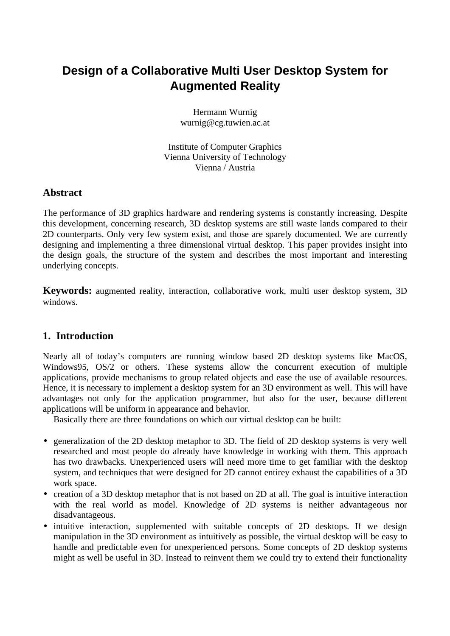# **Design of a Collaborative Multi User Desktop System for Augmented Reality**

Hermann Wurnig wurnig@cg.tuwien.ac.at

Institute of Computer Graphics Vienna University of Technology Vienna / Austria

# **Abstract**

The performance of 3D graphics hardware and rendering systems is constantly increasing. Despite this development, concerning research, 3D desktop systems are still waste lands compared to their 2D counterparts. Only very few system exist, and those are sparely documented. We are currently designing and implementing a three dimensional virtual desktop. This paper provides insight into the design goals, the structure of the system and describes the most important and interesting underlying concepts.

**Keywords:** augmented reality, interaction, collaborative work, multi user desktop system, 3D windows.

# **1. Introduction**

Nearly all of today's computers are running window based 2D desktop systems like MacOS, Windows95, OS/2 or others. These systems allow the concurrent execution of multiple applications, provide mechanisms to group related objects and ease the use of available resources. Hence, it is necessary to implement a desktop system for an 3D environment as well. This will have advantages not only for the application programmer, but also for the user, because different applications will be uniform in appearance and behavior.

Basically there are three foundations on which our virtual desktop can be built:

- generalization of the 2D desktop metaphor to 3D. The field of 2D desktop systems is very well researched and most people do already have knowledge in working with them. This approach has two drawbacks. Unexperienced users will need more time to get familiar with the desktop system, and techniques that were designed for 2D cannot entirey exhaust the capabilities of a 3D work space.
- creation of a 3D desktop metaphor that is not based on 2D at all. The goal is intuitive interaction with the real world as model. Knowledge of 2D systems is neither advantageous nor disadvantageous.
- intuitive interaction, supplemented with suitable concepts of 2D desktops. If we design manipulation in the 3D environment as intuitively as possible, the virtual desktop will be easy to handle and predictable even for unexperienced persons. Some concepts of 2D desktop systems might as well be useful in 3D. Instead to reinvent them we could try to extend their functionality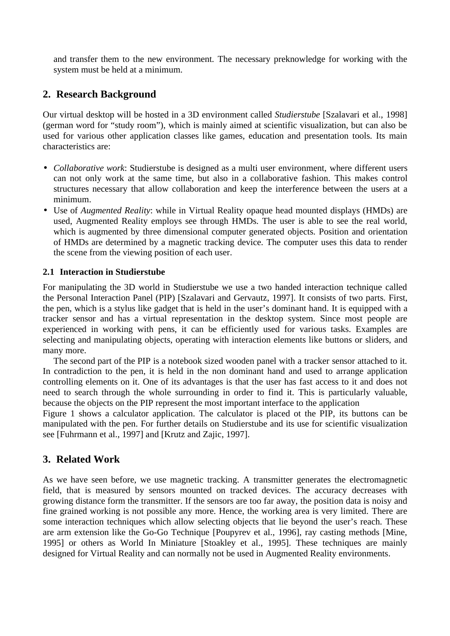and transfer them to the new environment. The necessary preknowledge for working with the system must be held at a minimum.

# **2. Research Background**

Our virtual desktop will be hosted in a 3D environment called *Studierstube* [Szalavari et al., 1998] (german word for "study room"), which is mainly aimed at scientific visualization, but can also be used for various other application classes like games, education and presentation tools. Its main characteristics are:

- *Collaborative work*: Studierstube is designed as a multi user environment, where different users can not only work at the same time, but also in a collaborative fashion. This makes control structures necessary that allow collaboration and keep the interference between the users at a minimum.
- Use of *Augmented Reality*: while in Virtual Reality opaque head mounted displays (HMDs) are used, Augmented Reality employs see through HMDs. The user is able to see the real world, which is augmented by three dimensional computer generated objects. Position and orientation of HMDs are determined by a magnetic tracking device. The computer uses this data to render the scene from the viewing position of each user.

### **2.1 Interaction in Studierstube**

For manipulating the 3D world in Studierstube we use a two handed interaction technique called the Personal Interaction Panel (PIP) [Szalavari and Gervautz, 1997]. It consists of two parts. First, the pen, which is a stylus like gadget that is held in the user's dominant hand. It is equipped with a tracker sensor and has a virtual representation in the desktop system. Since most people are experienced in working with pens, it can be efficiently used for various tasks. Examples are selecting and manipulating objects, operating with interaction elements like buttons or sliders, and many more.

The second part of the PIP is a notebook sized wooden panel with a tracker sensor attached to it. In contradiction to the pen, it is held in the non dominant hand and used to arrange application controlling elements on it. One of its advantages is that the user has fast access to it and does not need to search through the whole surrounding in order to find it. This is particularly valuable, because the objects on the PIP represent the most important interface to the application

Figure 1 shows a calculator application. The calculator is placed ot the PIP, its buttons can be manipulated with the pen. For further details on Studierstube and its use for scientific visualization see [Fuhrmann et al., 1997] and [Krutz and Zajic, 1997].

# **3. Related Work**

As we have seen before, we use magnetic tracking. A transmitter generates the electromagnetic field, that is measured by sensors mounted on tracked devices. The accuracy decreases with growing distance form the transmitter. If the sensors are too far away, the position data is noisy and fine grained working is not possible any more. Hence, the working area is very limited. There are some interaction techniques which allow selecting objects that lie beyond the user's reach. These are arm extension like the Go-Go Technique [Poupyrev et al., 1996], ray casting methods [Mine, 1995] or others as World In Miniature [Stoakley et al., 1995]. These techniques are mainly designed for Virtual Reality and can normally not be used in Augmented Reality environments.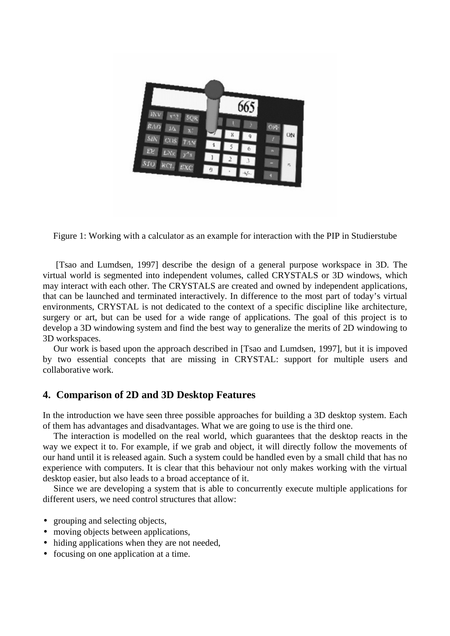

Figure 1: Working with a calculator as an example for interaction with the PIP in Studierstube

 [Tsao and Lumdsen, 1997] describe the design of a general purpose workspace in 3D. The virtual world is segmented into independent volumes, called CRYSTALS or 3D windows, which may interact with each other. The CRYSTALS are created and owned by independent applications, that can be launched and terminated interactively. In difference to the most part of today's virtual environments, CRYSTAL is not dedicated to the context of a specific discipline like architecture, surgery or art, but can be used for a wide range of applications. The goal of this project is to develop a 3D windowing system and find the best way to generalize the merits of 2D windowing to 3D workspaces.

Our work is based upon the approach described in [Tsao and Lumdsen, 1997], but it is impoved by two essential concepts that are missing in CRYSTAL: support for multiple users and collaborative work.

# **4. Comparison of 2D and 3D Desktop Features**

In the introduction we have seen three possible approaches for building a 3D desktop system. Each of them has advantages and disadvantages. What we are going to use is the third one.

The interaction is modelled on the real world, which guarantees that the desktop reacts in the way we expect it to. For example, if we grab and object, it will directly follow the movements of our hand until it is released again. Such a system could be handled even by a small child that has no experience with computers. It is clear that this behaviour not only makes working with the virtual desktop easier, but also leads to a broad acceptance of it.

Since we are developing a system that is able to concurrently execute multiple applications for different users, we need control structures that allow:

- grouping and selecting objects,
- moving objects between applications,
- hiding applications when they are not needed,
- focusing on one application at a time.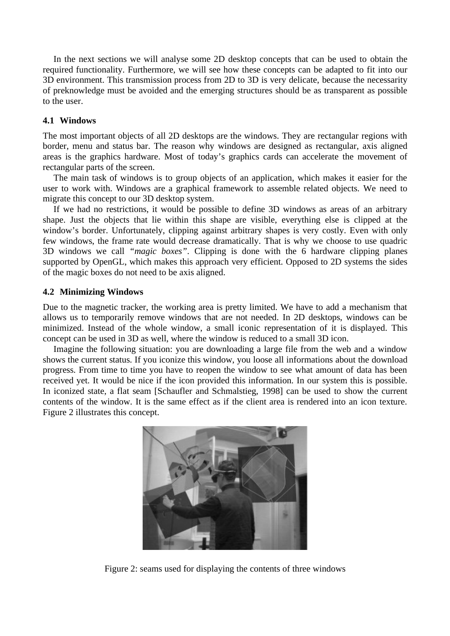In the next sections we will analyse some 2D desktop concepts that can be used to obtain the required functionality. Furthermore, we will see how these concepts can be adapted to fit into our 3D environment. This transmission process from 2D to 3D is very delicate, because the necessarity of preknowledge must be avoided and the emerging structures should be as transparent as possible to the user.

#### **4.1 Windows**

The most important objects of all 2D desktops are the windows. They are rectangular regions with border, menu and status bar. The reason why windows are designed as rectangular, axis aligned areas is the graphics hardware. Most of today's graphics cards can accelerate the movement of rectangular parts of the screen.

The main task of windows is to group objects of an application, which makes it easier for the user to work with. Windows are a graphical framework to assemble related objects. We need to migrate this concept to our 3D desktop system.

If we had no restrictions, it would be possible to define 3D windows as areas of an arbitrary shape. Just the objects that lie within this shape are visible, everything else is clipped at the window's border. Unfortunately, clipping against arbitrary shapes is very costly. Even with only few windows, the frame rate would decrease dramatically. That is why we choose to use quadric 3D windows we call *"magic boxes"*. Clipping is done with the 6 hardware clipping planes supported by OpenGL, which makes this approach very efficient. Opposed to 2D systems the sides of the magic boxes do not need to be axis aligned.

#### **4.2 Minimizing Windows**

Due to the magnetic tracker, the working area is pretty limited. We have to add a mechanism that allows us to temporarily remove windows that are not needed. In 2D desktops, windows can be minimized. Instead of the whole window, a small iconic representation of it is displayed. This concept can be used in 3D as well, where the window is reduced to a small 3D icon.

Imagine the following situation: you are downloading a large file from the web and a window shows the current status. If you iconize this window, you loose all informations about the download progress. From time to time you have to reopen the window to see what amount of data has been received yet. It would be nice if the icon provided this information. In our system this is possible. In iconized state, a flat seam [Schaufler and Schmalstieg, 1998] can be used to show the current contents of the window. It is the same effect as if the client area is rendered into an icon texture. Figure 2 illustrates this concept.



Figure 2: seams used for displaying the contents of three windows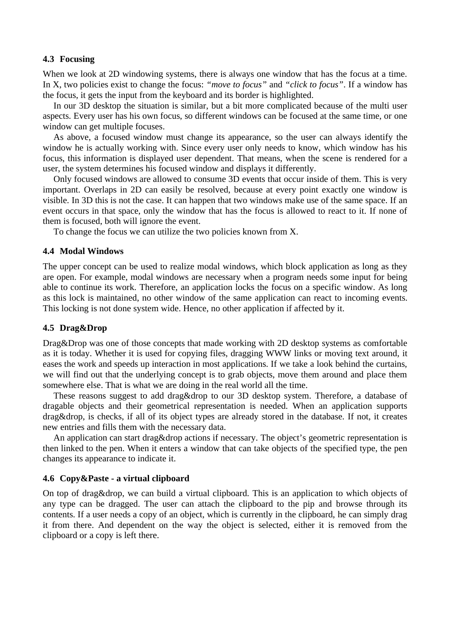#### **4.3 Focusing**

When we look at 2D windowing systems, there is always one window that has the focus at a time. In X, two policies exist to change the focus: *"move to focus"* and *"click to focus"*. If a window has the focus, it gets the input from the keyboard and its border is highlighted.

In our 3D desktop the situation is similar, but a bit more complicated because of the multi user aspects. Every user has his own focus, so different windows can be focused at the same time, or one window can get multiple focuses.

As above, a focused window must change its appearance, so the user can always identify the window he is actually working with. Since every user only needs to know, which window has his focus, this information is displayed user dependent. That means, when the scene is rendered for a user, the system determines his focused window and displays it differently.

Only focused windows are allowed to consume 3D events that occur inside of them. This is very important. Overlaps in 2D can easily be resolved, because at every point exactly one window is visible. In 3D this is not the case. It can happen that two windows make use of the same space. If an event occurs in that space, only the window that has the focus is allowed to react to it. If none of them is focused, both will ignore the event.

To change the focus we can utilize the two policies known from X.

#### **4.4 Modal Windows**

The upper concept can be used to realize modal windows, which block application as long as they are open. For example, modal windows are necessary when a program needs some input for being able to continue its work. Therefore, an application locks the focus on a specific window. As long as this lock is maintained, no other window of the same application can react to incoming events. This locking is not done system wide. Hence, no other application if affected by it.

#### **4.5 Drag&Drop**

Drag&Drop was one of those concepts that made working with 2D desktop systems as comfortable as it is today. Whether it is used for copying files, dragging WWW links or moving text around, it eases the work and speeds up interaction in most applications. If we take a look behind the curtains, we will find out that the underlying concept is to grab objects, move them around and place them somewhere else. That is what we are doing in the real world all the time.

These reasons suggest to add drag&drop to our 3D desktop system. Therefore, a database of dragable objects and their geometrical representation is needed. When an application supports drag&drop, is checks, if all of its object types are already stored in the database. If not, it creates new entries and fills them with the necessary data.

An application can start drag&drop actions if necessary. The object's geometric representation is then linked to the pen. When it enters a window that can take objects of the specified type, the pen changes its appearance to indicate it.

#### **4.6 Copy&Paste - a virtual clipboard**

On top of drag&drop, we can build a virtual clipboard. This is an application to which objects of any type can be dragged. The user can attach the clipboard to the pip and browse through its contents. If a user needs a copy of an object, which is currently in the clipboard, he can simply drag it from there. And dependent on the way the object is selected, either it is removed from the clipboard or a copy is left there.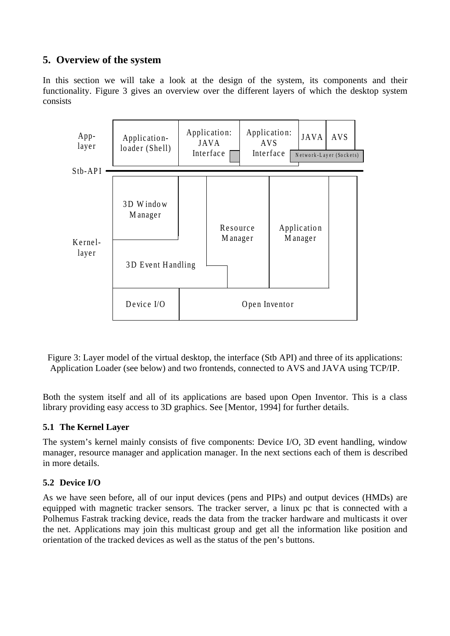# **5. Overview of the system**

In this section we will take a look at the design of the system, its components and their functionality. Figure 3 gives an overview over the different layers of which the desktop system consists



Figure 3: Layer model of the virtual desktop, the interface (Stb API) and three of its applications: Application Loader (see below) and two frontends, connected to AVS and JAVA using TCP/IP.

Both the system itself and all of its applications are based upon Open Inventor. This is a class library providing easy access to 3D graphics. See [Mentor, 1994] for further details.

### **5.1 The Kernel Layer**

The system's kernel mainly consists of five components: Device I/O, 3D event handling, window manager, resource manager and application manager. In the next sections each of them is described in more details.

# **5.2 Device I/O**

As we have seen before, all of our input devices (pens and PIPs) and output devices (HMDs) are equipped with magnetic tracker sensors. The tracker server, a linux pc that is connected with a Polhemus Fastrak tracking device, reads the data from the tracker hardware and multicasts it over the net. Applications may join this multicast group and get all the information like position and orientation of the tracked devices as well as the status of the pen's buttons.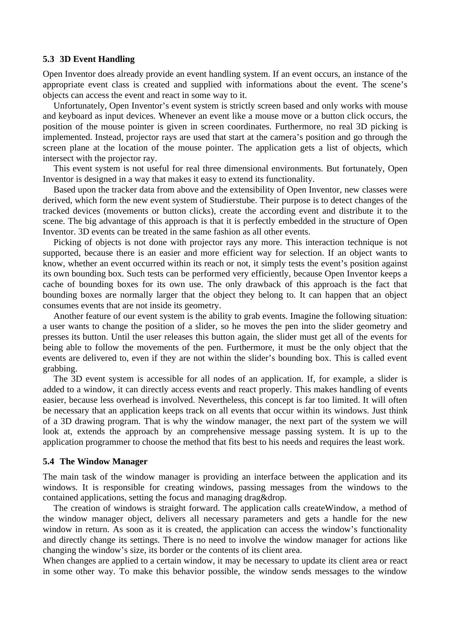#### **5.3 3D Event Handling**

Open Inventor does already provide an event handling system. If an event occurs, an instance of the appropriate event class is created and supplied with informations about the event. The scene's objects can access the event and react in some way to it.

Unfortunately, Open Inventor's event system is strictly screen based and only works with mouse and keyboard as input devices. Whenever an event like a mouse move or a button click occurs, the position of the mouse pointer is given in screen coordinates. Furthermore, no real 3D picking is implemented. Instead, projector rays are used that start at the camera's position and go through the screen plane at the location of the mouse pointer. The application gets a list of objects, which intersect with the projector ray.

This event system is not useful for real three dimensional environments. But fortunately, Open Inventor is designed in a way that makes it easy to extend its functionality.

Based upon the tracker data from above and the extensibility of Open Inventor, new classes were derived, which form the new event system of Studierstube. Their purpose is to detect changes of the tracked devices (movements or button clicks), create the according event and distribute it to the scene. The big advantage of this approach is that it is perfectly embedded in the structure of Open Inventor. 3D events can be treated in the same fashion as all other events.

Picking of objects is not done with projector rays any more. This interaction technique is not supported, because there is an easier and more efficient way for selection. If an object wants to know, whether an event occurred within its reach or not, it simply tests the event's position against its own bounding box. Such tests can be performed very efficiently, because Open Inventor keeps a cache of bounding boxes for its own use. The only drawback of this approach is the fact that bounding boxes are normally larger that the object they belong to. It can happen that an object consumes events that are not inside its geometry.

Another feature of our event system is the ability to grab events. Imagine the following situation: a user wants to change the position of a slider, so he moves the pen into the slider geometry and presses its button. Until the user releases this button again, the slider must get all of the events for being able to follow the movements of the pen. Furthermore, it must be the only object that the events are delivered to, even if they are not within the slider's bounding box. This is called event grabbing.

The 3D event system is accessible for all nodes of an application. If, for example, a slider is added to a window, it can directly access events and react properly. This makes handling of events easier, because less overhead is involved. Nevertheless, this concept is far too limited. It will often be necessary that an application keeps track on all events that occur within its windows. Just think of a 3D drawing program. That is why the window manager, the next part of the system we will look at, extends the approach by an comprehensive message passing system. It is up to the application programmer to choose the method that fits best to his needs and requires the least work.

#### **5.4 The Window Manager**

The main task of the window manager is providing an interface between the application and its windows. It is responsible for creating windows, passing messages from the windows to the contained applications, setting the focus and managing drag&drop.

The creation of windows is straight forward. The application calls createWindow, a method of the window manager object, delivers all necessary parameters and gets a handle for the new window in return. As soon as it is created, the application can access the window's functionality and directly change its settings. There is no need to involve the window manager for actions like changing the window's size, its border or the contents of its client area.

When changes are applied to a certain window, it may be necessary to update its client area or react in some other way. To make this behavior possible, the window sends messages to the window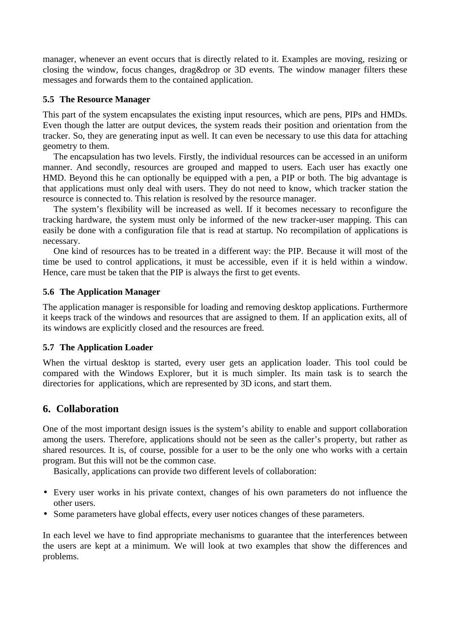manager, whenever an event occurs that is directly related to it. Examples are moving, resizing or closing the window, focus changes, drag&drop or 3D events. The window manager filters these messages and forwards them to the contained application.

#### **5.5 The Resource Manager**

This part of the system encapsulates the existing input resources, which are pens, PIPs and HMDs. Even though the latter are output devices, the system reads their position and orientation from the tracker. So, they are generating input as well. It can even be necessary to use this data for attaching geometry to them.

The encapsulation has two levels. Firstly, the individual resources can be accessed in an uniform manner. And secondly, resources are grouped and mapped to users. Each user has exactly one HMD. Beyond this he can optionally be equipped with a pen, a PIP or both. The big advantage is that applications must only deal with users. They do not need to know, which tracker station the resource is connected to. This relation is resolved by the resource manager.

The system's flexibility will be increased as well. If it becomes necessary to reconfigure the tracking hardware, the system must only be informed of the new tracker-user mapping. This can easily be done with a configuration file that is read at startup. No recompilation of applications is necessary.

One kind of resources has to be treated in a different way: the PIP. Because it will most of the time be used to control applications, it must be accessible, even if it is held within a window. Hence, care must be taken that the PIP is always the first to get events.

#### **5.6 The Application Manager**

The application manager is responsible for loading and removing desktop applications. Furthermore it keeps track of the windows and resources that are assigned to them. If an application exits, all of its windows are explicitly closed and the resources are freed.

#### **5.7 The Application Loader**

When the virtual desktop is started, every user gets an application loader. This tool could be compared with the Windows Explorer, but it is much simpler. Its main task is to search the directories for applications, which are represented by 3D icons, and start them.

# **6. Collaboration**

One of the most important design issues is the system's ability to enable and support collaboration among the users. Therefore, applications should not be seen as the caller's property, but rather as shared resources. It is, of course, possible for a user to be the only one who works with a certain program. But this will not be the common case.

Basically, applications can provide two different levels of collaboration:

- Every user works in his private context, changes of his own parameters do not influence the other users.
- Some parameters have global effects, every user notices changes of these parameters.

In each level we have to find appropriate mechanisms to guarantee that the interferences between the users are kept at a minimum. We will look at two examples that show the differences and problems.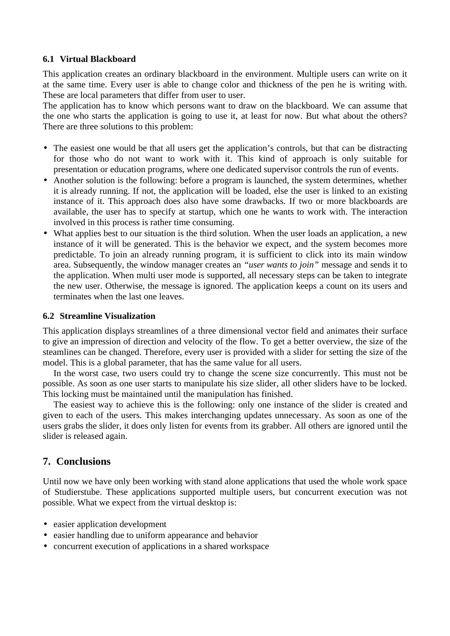#### **6.1 Virtual Blackboard**

This application creates an ordinary blackboard in the environment. Multiple users can write on it at the same time. Every user is able to change color and thickness of the pen he is writing with. These are local parameters that differ from user to user.

The application has to know which persons want to draw on the blackboard. We can assume that the one who starts the application is going to use it, at least for now. But what about the others? There are three solutions to this problem:

- The easiest one would be that all users get the application's controls, but that can be distracting for those who do not want to work with it. This kind of approach is only suitable for presentation or education programs, where one dedicated supervisor controls the run of events.
- Another solution is the following: before a program is launched, the system determines, whether it is already running. If not, the application will be loaded, else the user is linked to an existing instance of it. This approach does also have some drawbacks. If two or more blackboards are available, the user has to specify at startup, which one he wants to work with. The interaction involved in this process is rather time consuming.
- What applies best to our situation is the third solution. When the user loads an application, a new instance of it will be generated. This is the behavior we expect, and the system becomes more predictable. To join an already running program, it is sufficient to click into its main window area. Subsequently, the window manager creates an *"user wants to join"* message and sends it to the application. When multi user mode is supported, all necessary steps can be taken to integrate the new user. Otherwise, the message is ignored. The application keeps a count on its users and terminates when the last one leaves.

#### **6.2 Streamline Visualization**

This application displays streamlines of a three dimensional vector field and animates their surface to give an impression of direction and velocity of the flow. To get a better overview, the size of the steamlines can be changed. Therefore, every user is provided with a slider for setting the size of the model. This is a global parameter, that has the same value for all users.

In the worst case, two users could try to change the scene size concurrently. This must not be possible. As soon as one user starts to manipulate his size slider, all other sliders have to be locked. This locking must be maintained until the manipulation has finished.

The easiest way to achieve this is the following: only one instance of the slider is created and given to each of the users. This makes interchanging updates unnecessary. As soon as one of the users grabs the slider, it does only listen for events from its grabber. All others are ignored until the slider is released again.

# **7. Conclusions**

Until now we have only been working with stand alone applications that used the whole work space of Studierstube. These applications supported multiple users, but concurrent execution was not possible. What we expect from the virtual desktop is:

- easier application development
- easier handling due to uniform appearance and behavior
- concurrent execution of applications in a shared workspace